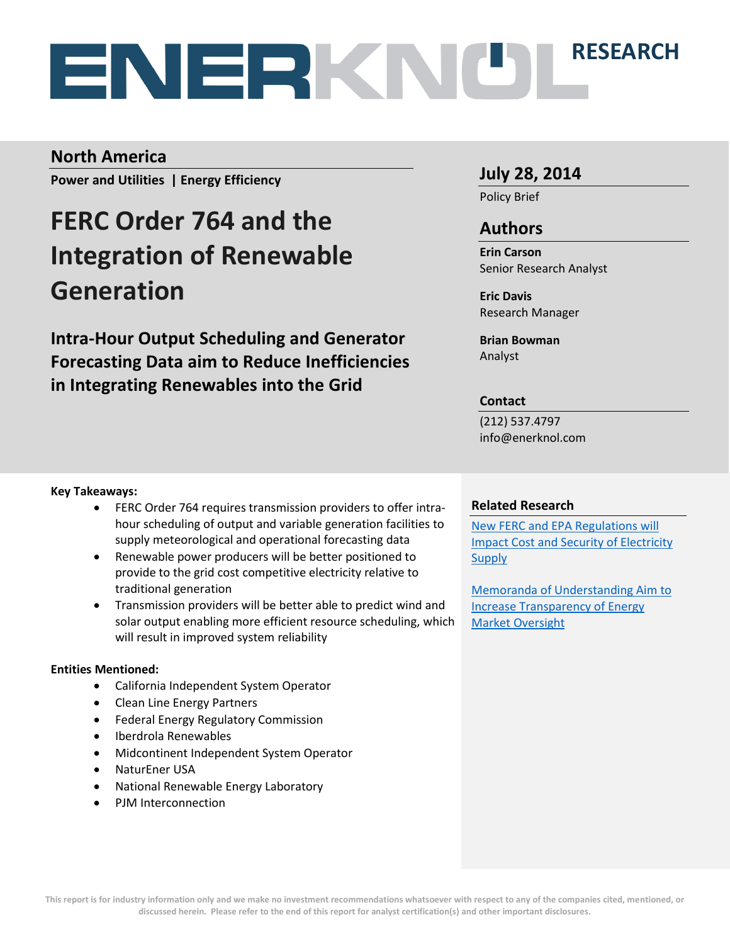# **RESEARCH**

### **North America**

**Power and Utilities | Energy Efficiency**

# **FERC Order 764 and the Integration of Renewable Generation**

**Intra-Hour Output Scheduling and Generator Forecasting Data aim to Reduce Inefficiencies in Integrating Renewables into the Grid**

### **July 28, 2014**

Policy Brief

### **Authors**

**Erin Carson** Senior Research Analyst

**Eric Davis** Research Manager

**Brian Bowman** Analyst

### **Contact**

(212) 537.4797 info@enerknol.com

### **Key Takeaways:**

- FERC Order 764 requires transmission providers to offer intrahour scheduling of output and variable generation facilities to supply meteorological and operational forecasting data
- Renewable power producers will be better positioned to provide to the grid cost competitive electricity relative to traditional generation
- Transmission providers will be better able to predict wind and solar output enabling more efficient resource scheduling, which will result in improved system reliability

### **Entities Mentioned:**

- California Independent System Operator
- Clean Line Energy Partners
- Federal Energy Regulatory Commission
- Iberdrola Renewables
- Midcontinent Independent System Operator
- NaturEner USA
- National Renewable Energy Laboratory
- PJM Interconnection

### **Related Research**

[New FERC and EPA Regulations will](http://enerknol.com/wp-content/uploads/2014/05/ESF_PnU_FERC-EPA-Regulations-Electricity-Supply_5.5.14.pdf)  [Impact Cost and Security of Electricity](http://enerknol.com/wp-content/uploads/2014/05/ESF_PnU_FERC-EPA-Regulations-Electricity-Supply_5.5.14.pdf)  **[Supply](http://enerknol.com/wp-content/uploads/2014/05/ESF_PnU_FERC-EPA-Regulations-Electricity-Supply_5.5.14.pdf)** 

[Memoranda of Understanding Aim to](http://enerknol.com/wp-content/uploads/2014/04/ESF_OnG_FERC-CFTC-MOUs_4.14.14.pdf)  [Increase Transparency of Energy](http://enerknol.com/wp-content/uploads/2014/04/ESF_OnG_FERC-CFTC-MOUs_4.14.14.pdf)  [Market Oversight](http://enerknol.com/wp-content/uploads/2014/04/ESF_OnG_FERC-CFTC-MOUs_4.14.14.pdf)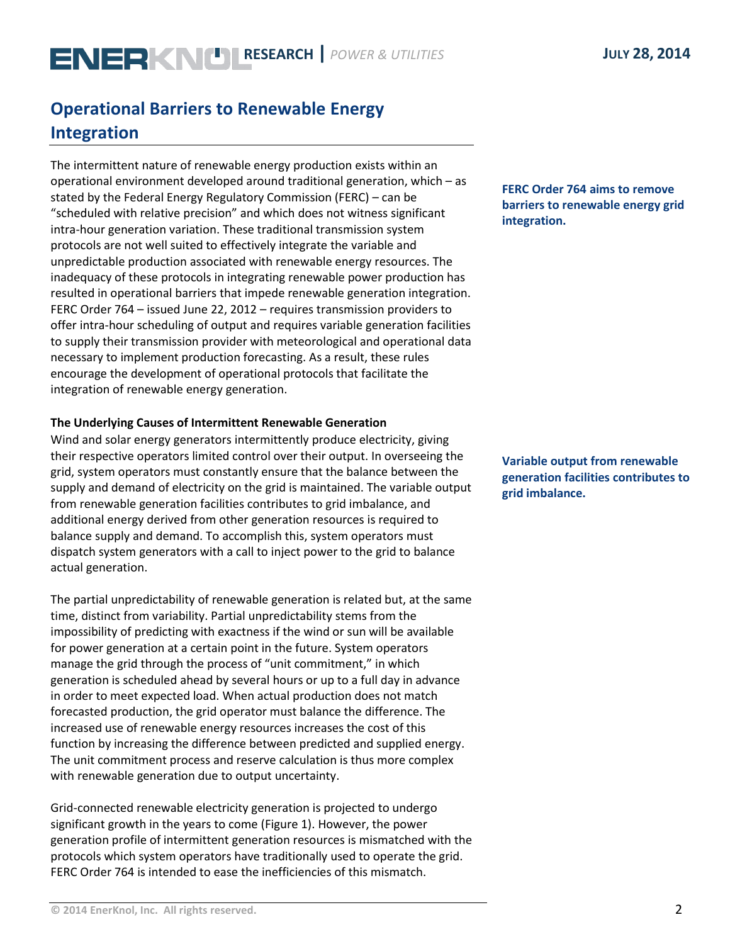# **Operational Barriers to Renewable Energy Integration**

The intermittent nature of renewable energy production exists within an operational environment developed around traditional generation, which – as stated by the Federal Energy Regulatory Commission (FERC) – can be "scheduled with relative precision" and which does not witness significant intra-hour generation variation. These traditional transmission system protocols are not well suited to effectively integrate the variable and unpredictable production associated with renewable energy resources. The inadequacy of these protocols in integrating renewable power production has resulted in operational barriers that impede renewable generation integration. FERC Order 764 – issued June 22, 2012 – requires transmission providers to offer intra-hour scheduling of output and requires variable generation facilities to supply their transmission provider with meteorological and operational data necessary to implement production forecasting. As a result, these rules encourage the development of operational protocols that facilitate the integration of renewable energy generation.

### **The Underlying Causes of Intermittent Renewable Generation**

Wind and solar energy generators intermittently produce electricity, giving their respective operators limited control over their output. In overseeing the grid, system operators must constantly ensure that the balance between the supply and demand of electricity on the grid is maintained. The variable output from renewable generation facilities contributes to grid imbalance, and additional energy derived from other generation resources is required to balance supply and demand. To accomplish this, system operators must dispatch system generators with a call to inject power to the grid to balance actual generation.

The partial unpredictability of renewable generation is related but, at the same time, distinct from variability. Partial unpredictability stems from the impossibility of predicting with exactness if the wind or sun will be available for power generation at a certain point in the future. System operators manage the grid through the process of "unit commitment," in which generation is scheduled ahead by several hours or up to a full day in advance in order to meet expected load. When actual production does not match forecasted production, the grid operator must balance the difference. The increased use of renewable energy resources increases the cost of this function by increasing the difference between predicted and supplied energy. The unit commitment process and reserve calculation is thus more complex with renewable generation due to output uncertainty.

Grid-connected renewable electricity generation is projected to undergo significant growth in the years to come (Figure 1). However, the power generation profile of intermittent generation resources is mismatched with the protocols which system operators have traditionally used to operate the grid. FERC Order 764 is intended to ease the inefficiencies of this mismatch.

### **FERC Order 764 aims to remove barriers to renewable energy grid integration.**

**Variable output from renewable generation facilities contributes to grid imbalance.**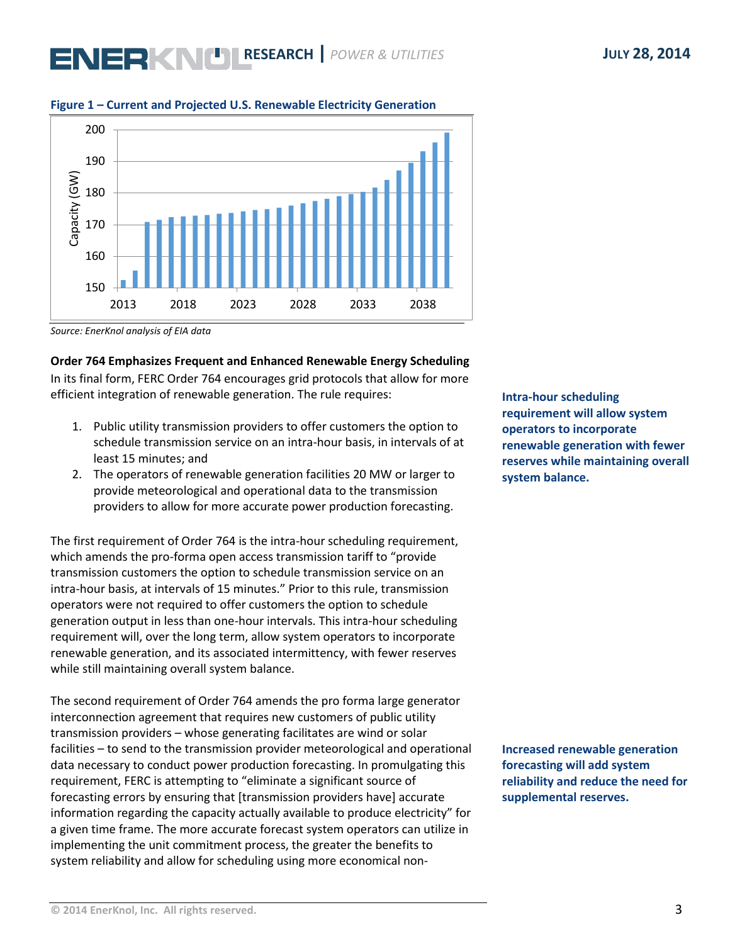# **ENERKNU RESEARCH** *POWER & UTILITIES* **JULY 28, 2014**



#### **Figure 1 – Current and Projected U.S. Renewable Electricity Generation**

*Source: EnerKnol analysis of EIA data*

**Order 764 Emphasizes Frequent and Enhanced Renewable Energy Scheduling** In its final form, FERC Order 764 encourages grid protocols that allow for more efficient integration of renewable generation. The rule requires:

- 1. Public utility transmission providers to offer customers the option to schedule transmission service on an intra-hour basis, in intervals of at least 15 minutes; and
- 2. The operators of renewable generation facilities 20 MW or larger to provide meteorological and operational data to the transmission providers to allow for more accurate power production forecasting.

The first requirement of Order 764 is the intra-hour scheduling requirement, which amends the pro-forma open access transmission tariff to "provide transmission customers the option to schedule transmission service on an intra-hour basis, at intervals of 15 minutes." Prior to this rule, transmission operators were not required to offer customers the option to schedule generation output in less than one-hour intervals. This intra-hour scheduling requirement will, over the long term, allow system operators to incorporate renewable generation, and its associated intermittency, with fewer reserves while still maintaining overall system balance.

The second requirement of Order 764 amends the pro forma large generator interconnection agreement that requires new customers of public utility transmission providers – whose generating facilitates are wind or solar facilities – to send to the transmission provider meteorological and operational data necessary to conduct power production forecasting. In promulgating this requirement, FERC is attempting to "eliminate a significant source of forecasting errors by ensuring that [transmission providers have] accurate information regarding the capacity actually available to produce electricity" for a given time frame. The more accurate forecast system operators can utilize in implementing the unit commitment process, the greater the benefits to system reliability and allow for scheduling using more economical non**Intra-hour scheduling requirement will allow system operators to incorporate renewable generation with fewer reserves while maintaining overall system balance.**

**Increased renewable generation forecasting will add system reliability and reduce the need for supplemental reserves.**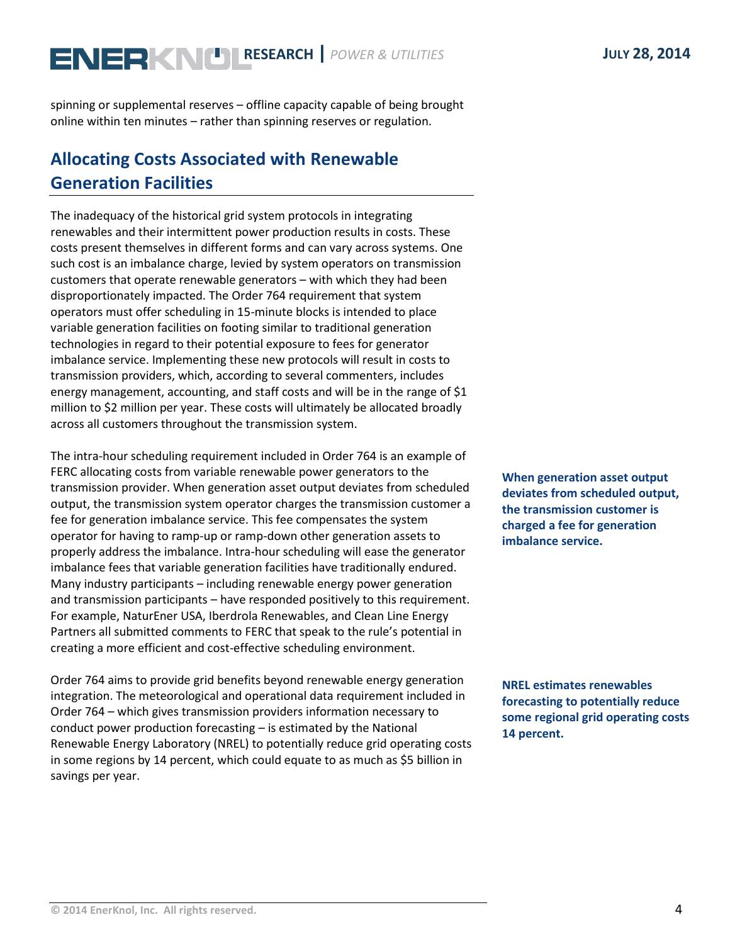# **ENERKNU RESEARCH** *POWER & UTILITIES* **JULY 28, 2014**

spinning or supplemental reserves – offline capacity capable of being brought online within ten minutes – rather than spinning reserves or regulation.

# **Allocating Costs Associated with Renewable Generation Facilities**

The inadequacy of the historical grid system protocols in integrating renewables and their intermittent power production results in costs. These costs present themselves in different forms and can vary across systems. One such cost is an imbalance charge, levied by system operators on transmission customers that operate renewable generators – with which they had been disproportionately impacted. The Order 764 requirement that system operators must offer scheduling in 15-minute blocks is intended to place variable generation facilities on footing similar to traditional generation technologies in regard to their potential exposure to fees for generator imbalance service. Implementing these new protocols will result in costs to transmission providers, which, according to several commenters, includes energy management, accounting, and staff costs and will be in the range of \$1 million to \$2 million per year. These costs will ultimately be allocated broadly across all customers throughout the transmission system.

The intra-hour scheduling requirement included in Order 764 is an example of FERC allocating costs from variable renewable power generators to the transmission provider. When generation asset output deviates from scheduled output, the transmission system operator charges the transmission customer a fee for generation imbalance service. This fee compensates the system operator for having to ramp-up or ramp-down other generation assets to properly address the imbalance. Intra-hour scheduling will ease the generator imbalance fees that variable generation facilities have traditionally endured. Many industry participants – including renewable energy power generation and transmission participants – have responded positively to this requirement. For example, NaturEner USA, Iberdrola Renewables, and Clean Line Energy Partners all submitted comments to FERC that speak to the rule's potential in creating a more efficient and cost-effective scheduling environment.

Order 764 aims to provide grid benefits beyond renewable energy generation integration. The meteorological and operational data requirement included in Order 764 – which gives transmission providers information necessary to conduct power production forecasting – is estimated by the National Renewable Energy Laboratory (NREL) to potentially reduce grid operating costs in some regions by 14 percent, which could equate to as much as \$5 billion in savings per year.

**When generation asset output deviates from scheduled output, the transmission customer is charged a fee for generation imbalance service.**

**NREL estimates renewables forecasting to potentially reduce some regional grid operating costs 14 percent.**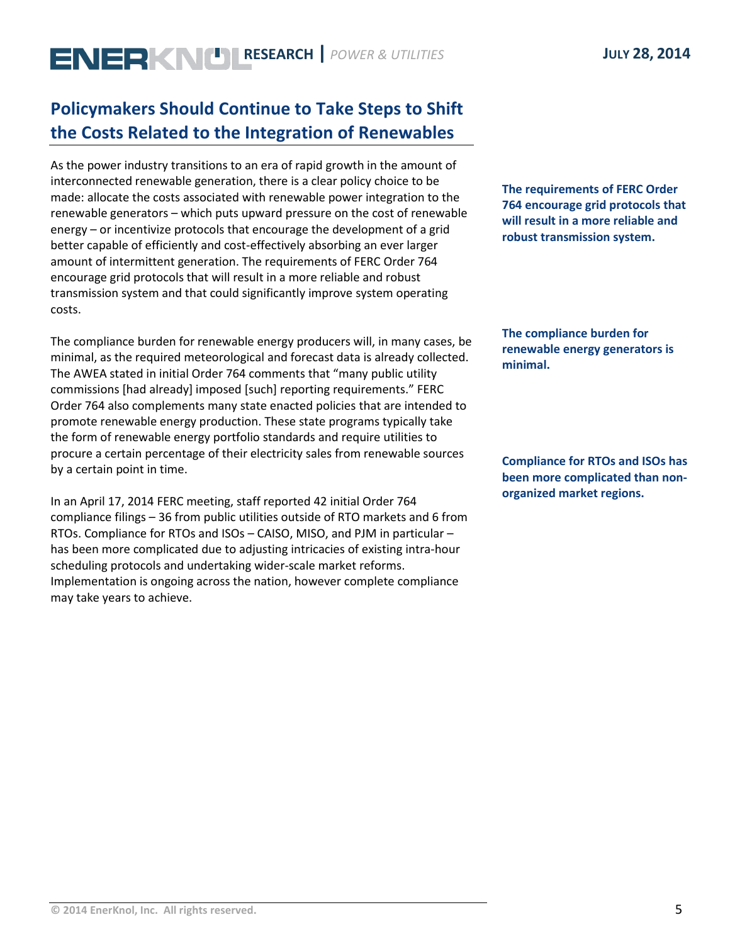# **ENERKNU RESEARCH** *POWER & UTILITIES* **JULY 28, 2014**

# **Policymakers Should Continue to Take Steps to Shift the Costs Related to the Integration of Renewables**

As the power industry transitions to an era of rapid growth in the amount of interconnected renewable generation, there is a clear policy choice to be made: allocate the costs associated with renewable power integration to the renewable generators – which puts upward pressure on the cost of renewable energy – or incentivize protocols that encourage the development of a grid better capable of efficiently and cost-effectively absorbing an ever larger amount of intermittent generation. The requirements of FERC Order 764 encourage grid protocols that will result in a more reliable and robust transmission system and that could significantly improve system operating costs.

The compliance burden for renewable energy producers will, in many cases, be minimal, as the required meteorological and forecast data is already collected. The AWEA stated in initial Order 764 comments that "many public utility commissions [had already] imposed [such] reporting requirements." FERC Order 764 also complements many state enacted policies that are intended to promote renewable energy production. These state programs typically take the form of renewable energy portfolio standards and require utilities to procure a certain percentage of their electricity sales from renewable sources by a certain point in time.

In an April 17, 2014 FERC meeting, staff reported 42 initial Order 764 compliance filings – 36 from public utilities outside of RTO markets and 6 from RTOs. Compliance for RTOs and ISOs – CAISO, MISO, and PJM in particular – has been more complicated due to adjusting intricacies of existing intra-hour scheduling protocols and undertaking wider-scale market reforms. Implementation is ongoing across the nation, however complete compliance may take years to achieve.

**The requirements of FERC Order 764 encourage grid protocols that will result in a more reliable and robust transmission system.**

**The compliance burden for renewable energy generators is minimal.**

**Compliance for RTOs and ISOs has been more complicated than nonorganized market regions.**